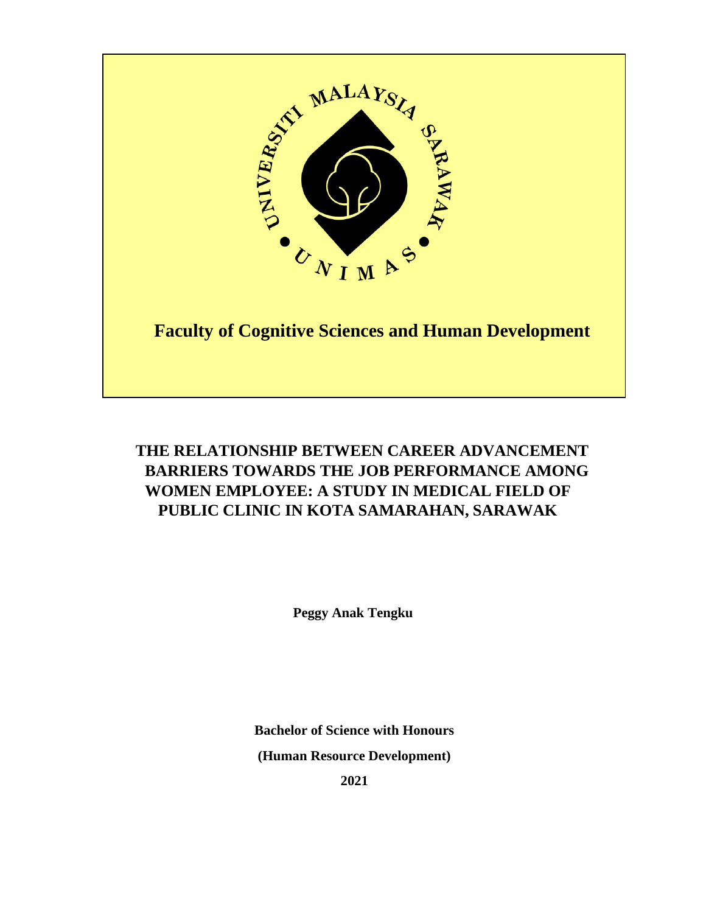

# **THE RELATIONSHIP BETWEEN CAREER ADVANCEMENT BARRIERS TOWARDS THE JOB PERFORMANCE AMONG WOMEN EMPLOYEE: A STUDY IN MEDICAL FIELD OF PUBLIC CLINIC IN KOTA SAMARAHAN, SARAWAK**

**Peggy Anak Tengku**

**Bachelor of Science with Honours (Human Resource Development)**

**2021**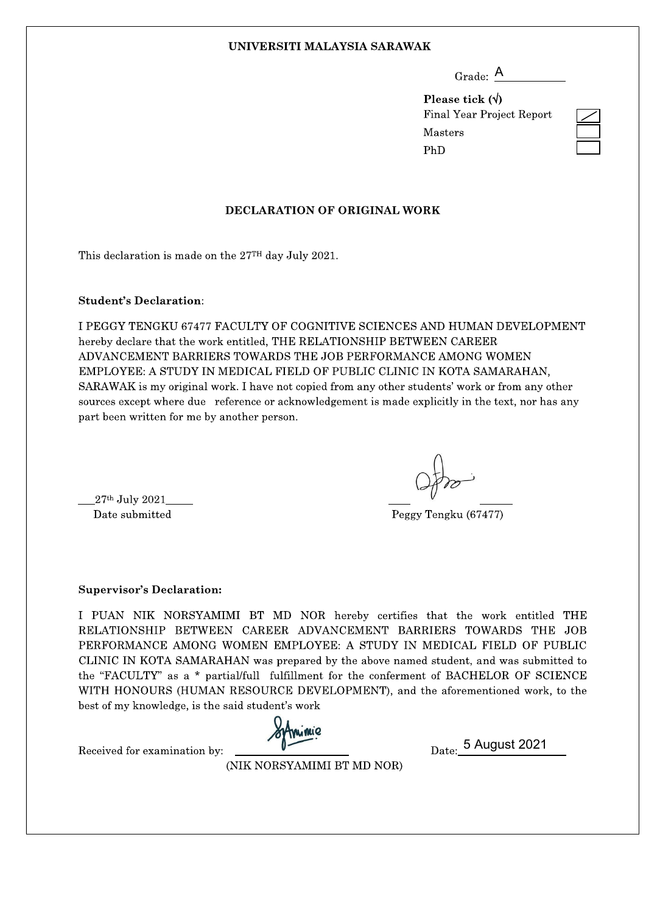#### UNIVERSITI MALAYSIA SARAWAK

| Grade: |  |
|--------|--|
|        |  |

Please tick  $(\forall)$ **Final Year Project Report** Masters PhD

### **DECLARATION OF ORIGINAL WORK**

This declaration is made on the 27<sup>TH</sup> day July 2021.

#### **Student's Declaration:**

I PEGGY TENGKU 67477 FACULTY OF COGNITIVE SCIENCES AND HUMAN DEVELOPMENT hereby declare that the work entitled. THE RELATIONSHIP BETWEEN CAREER ADVANCEMENT BARRIERS TOWARDS THE JOB PERFORMANCE AMONG WOMEN EMPLOYEE: A STUDY IN MEDICAL FIELD OF PUBLIC CLINIC IN KOTA SAMARAHAN. SARAWAK is my original work. I have not copied from any other students' work or from any other sources except where due reference or acknowledgement is made explicitly in the text, nor has any part been written for me by another person.

 $27<sup>th</sup>$  July 2021 Date submitted

Peggy Tengku (67477)

**Supervisor's Declaration:** 

I PUAN NIK NORSYAMIMI BT MD NOR hereby certifies that the work entitled THE RELATIONSHIP BETWEEN CAREER ADVANCEMENT BARRIERS TOWARDS THE JOB PERFORMANCE AMONG WOMEN EMPLOYEE: A STUDY IN MEDICAL FIELD OF PUBLIC CLINIC IN KOTA SAMARAHAN was prepared by the above named student, and was submitted to the "FACULTY" as a \* partial/full fulfillment for the conferment of BACHELOR OF SCIENCE WITH HONOURS (HUMAN RESOURCE DEVELOPMENT), and the aforementioned work, to the best of my knowledge, is the said student's work

Date: 5 August 2021

Received for examination by:

(NIK NORSYAMIMI BT MD NOR)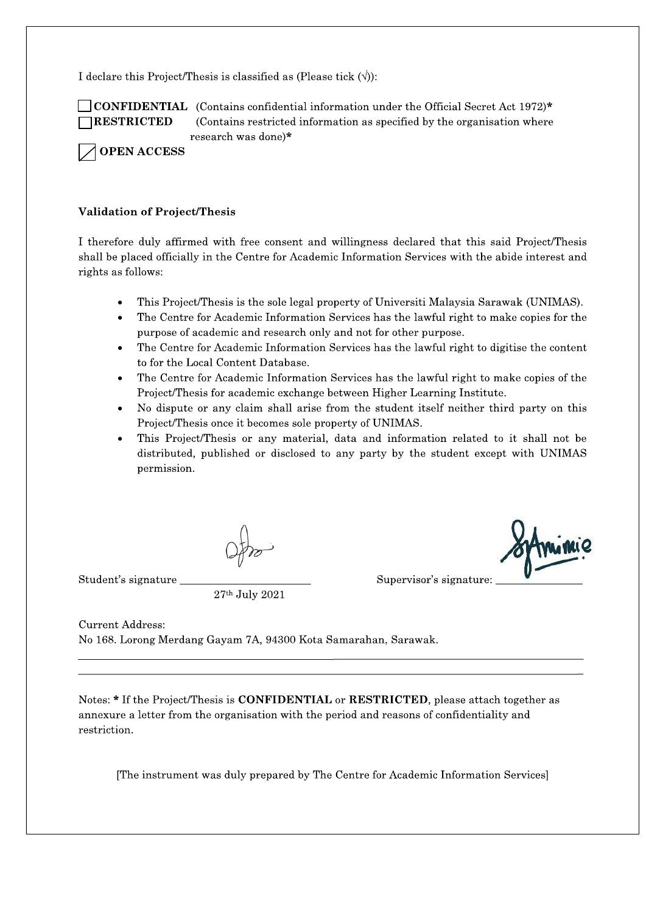I declare this Project/Thesis is classified as (Please tick  $(\langle \rangle)$ ):



**CONFIDENTIAL** (Contains confidential information under the Official Secret Act 1972)\* (Contains restricted information as specified by the organisation where research was done)\*

**OPEN ACCESS** 

## **Validation of Project/Thesis**

I therefore duly affirmed with free consent and willingness declared that this said Project/Thesis shall be placed officially in the Centre for Academic Information Services with the abide interest and rights as follows:

- This Project/Thesis is the sole legal property of Universiti Malaysia Sarawak (UNIMAS).
- The Centre for Academic Information Services has the lawful right to make copies for the purpose of academic and research only and not for other purpose.
- The Centre for Academic Information Services has the lawful right to digitise the content to for the Local Content Database.
- The Centre for Academic Information Services has the lawful right to make copies of the Project/Thesis for academic exchange between Higher Learning Institute.
- No dispute or any claim shall arise from the student itself neither third party on this Project/Thesis once it becomes sole property of UNIMAS.
- This Project/Thesis or any material, data and information related to it shall not be distributed, published or disclosed to any party by the student except with UNIMAS permission.

Student's signature

27th July 2021

Supervisor's signature:

**Current Address:** No 168. Lorong Merdang Gayam 7A, 94300 Kota Samarahan, Sarawak.

Notes: \* If the Project/Thesis is **CONFIDENTIAL** or **RESTRICTED**, please attach together as annexure a letter from the organisation with the period and reasons of confidentiality and restriction.

[The instrument was duly prepared by The Centre for Academic Information Services]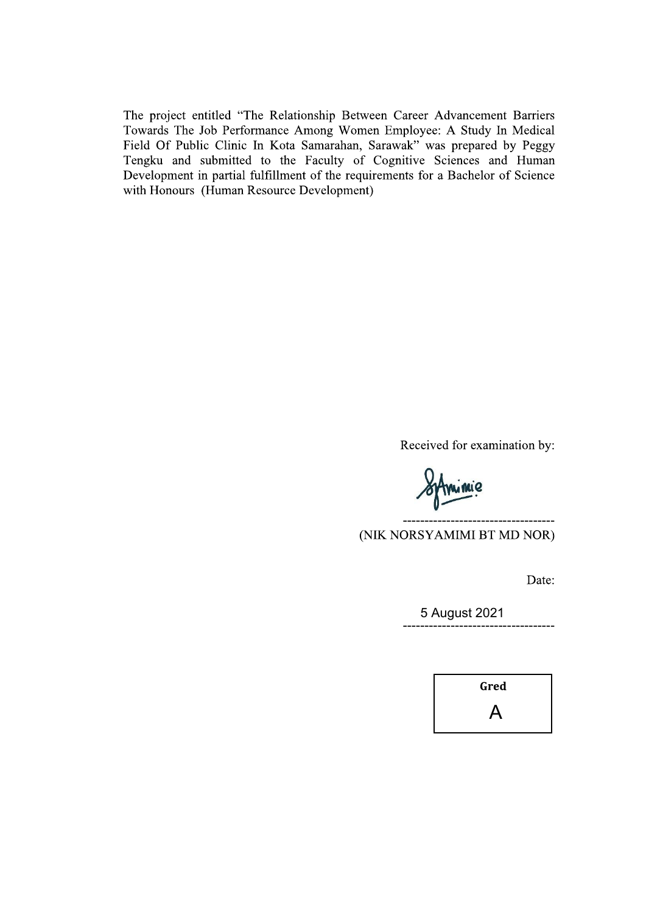The project entitled "The Relationship Between Career Advancement Barriers Towards The Job Performance Among Women Employee: A Study In Medical Field Of Public Clinic In Kota Samarahan, Sarawak" was prepared by Peggy Tengku and submitted to the Faculty of Cognitive Sciences and Human Development in partial fulfillment of the requirements for a Bachelor of Science with Honours (Human Resource Development)

Received for examination by:

(NIK NORSYAMIMI BT MD NOR)

Date:

5 August 2021 . **. . . . . . . . . . .** .

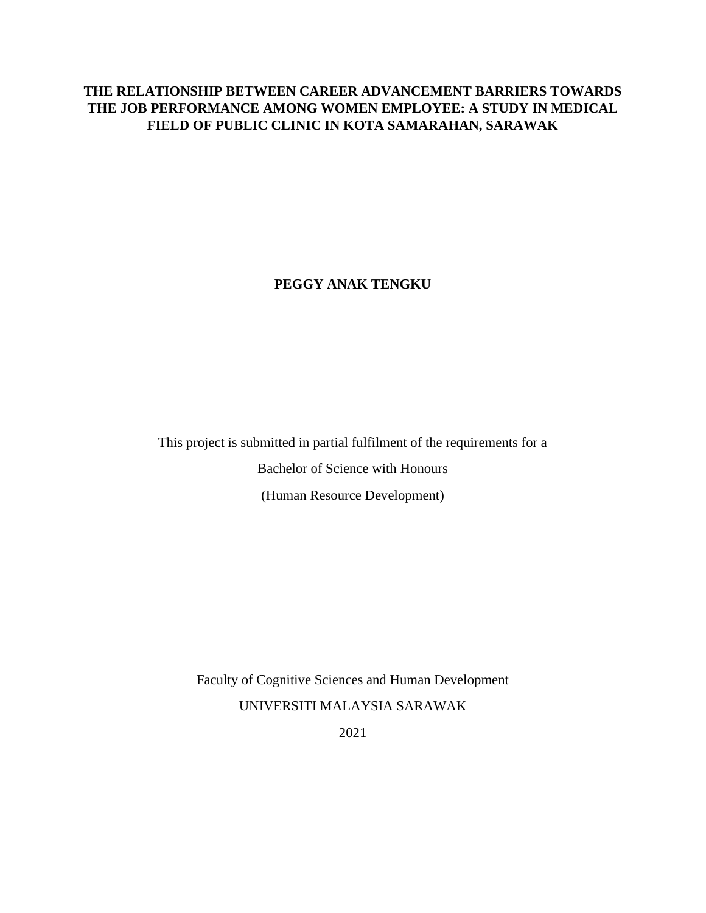## **THE RELATIONSHIP BETWEEN CAREER ADVANCEMENT BARRIERS TOWARDS THE JOB PERFORMANCE AMONG WOMEN EMPLOYEE: A STUDY IN MEDICAL FIELD OF PUBLIC CLINIC IN KOTA SAMARAHAN, SARAWAK**

**PEGGY ANAK TENGKU** 

This project is submitted in partial fulfilment of the requirements for a Bachelor of Science with Honours (Human Resource Development)

Faculty of Cognitive Sciences and Human Development

UNIVERSITI MALAYSIA SARAWAK

2021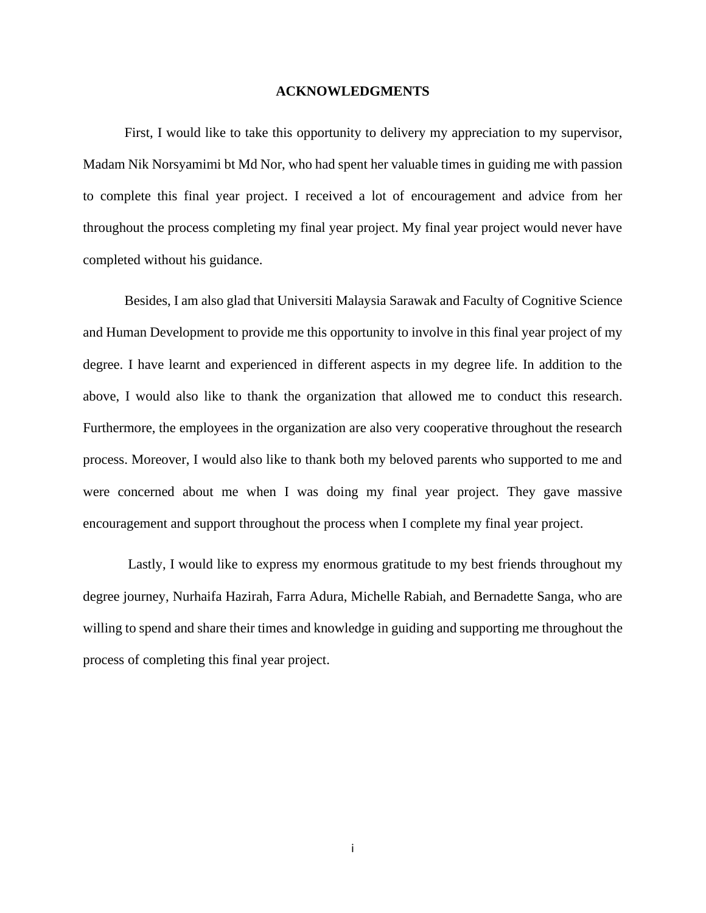#### **ACKNOWLEDGMENTS**

First, I would like to take this opportunity to delivery my appreciation to my supervisor, Madam Nik Norsyamimi bt Md Nor, who had spent her valuable times in guiding me with passion to complete this final year project. I received a lot of encouragement and advice from her throughout the process completing my final year project. My final year project would never have completed without his guidance.

Besides, I am also glad that Universiti Malaysia Sarawak and Faculty of Cognitive Science and Human Development to provide me this opportunity to involve in this final year project of my degree. I have learnt and experienced in different aspects in my degree life. In addition to the above, I would also like to thank the organization that allowed me to conduct this research. Furthermore, the employees in the organization are also very cooperative throughout the research process. Moreover, I would also like to thank both my beloved parents who supported to me and were concerned about me when I was doing my final year project. They gave massive encouragement and support throughout the process when I complete my final year project.

Lastly, I would like to express my enormous gratitude to my best friends throughout my degree journey, Nurhaifa Hazirah, Farra Adura, Michelle Rabiah, and Bernadette Sanga, who are willing to spend and share their times and knowledge in guiding and supporting me throughout the process of completing this final year project.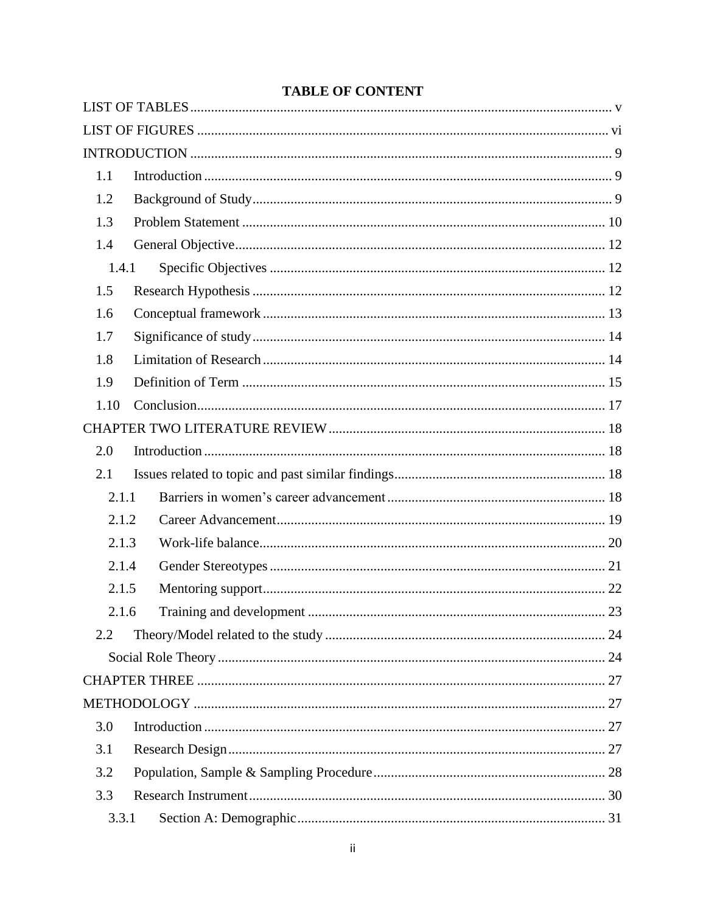| 1.1   |    |
|-------|----|
| 1.2   |    |
| 1.3   |    |
| 1.4   |    |
| 1.4.1 |    |
| 1.5   |    |
| 1.6   |    |
| 1.7   |    |
| 1.8   |    |
| 1.9   |    |
| 1.10  |    |
|       |    |
| 2.0   |    |
| 2.1   |    |
| 2.1.1 |    |
| 2.1.2 |    |
| 2.1.3 |    |
| 2.1.4 |    |
| 2.1.5 |    |
| 2.1.6 | 23 |
| 2.2   |    |
|       |    |
|       |    |
|       |    |
| 3.0   |    |
| 3.1   |    |
| 3.2   |    |
| 3.3   |    |
| 3.3.1 |    |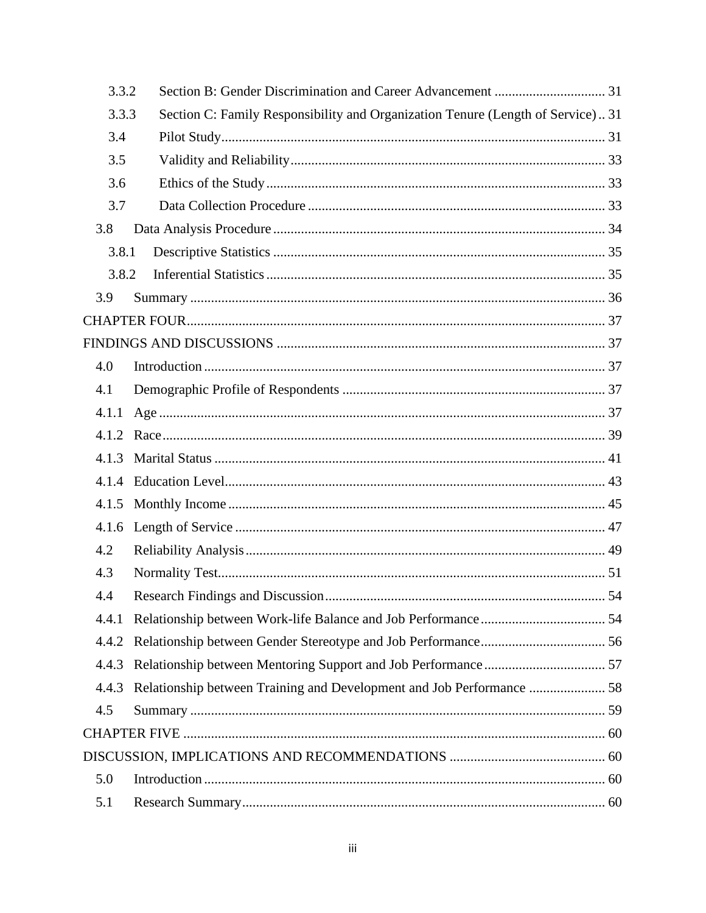| 3.3.2 |                                                                                 |     |
|-------|---------------------------------------------------------------------------------|-----|
| 3.3.3 | Section C: Family Responsibility and Organization Tenure (Length of Service) 31 |     |
| 3.4   |                                                                                 |     |
| 3.5   |                                                                                 |     |
| 3.6   |                                                                                 |     |
| 3.7   |                                                                                 |     |
| 3.8   |                                                                                 |     |
| 3.8.1 |                                                                                 |     |
| 3.8.2 |                                                                                 |     |
| 3.9   |                                                                                 |     |
|       |                                                                                 |     |
|       |                                                                                 |     |
| 4.0   |                                                                                 |     |
| 4.1   |                                                                                 |     |
| 4.1.1 |                                                                                 |     |
| 4.1.2 |                                                                                 |     |
| 4.1.3 |                                                                                 |     |
| 4.1.4 |                                                                                 |     |
|       |                                                                                 |     |
| 4.1.6 |                                                                                 |     |
| 4.2   |                                                                                 |     |
| 4.3   |                                                                                 |     |
| 4.4   |                                                                                 | .54 |
| 4.4.1 |                                                                                 |     |
| 4.4.2 |                                                                                 |     |
| 4.4.3 |                                                                                 |     |
| 4.4.3 | Relationship between Training and Development and Job Performance  58           |     |
| 4.5   |                                                                                 |     |
|       |                                                                                 |     |
|       |                                                                                 |     |
| 5.0   |                                                                                 |     |
| 5.1   |                                                                                 |     |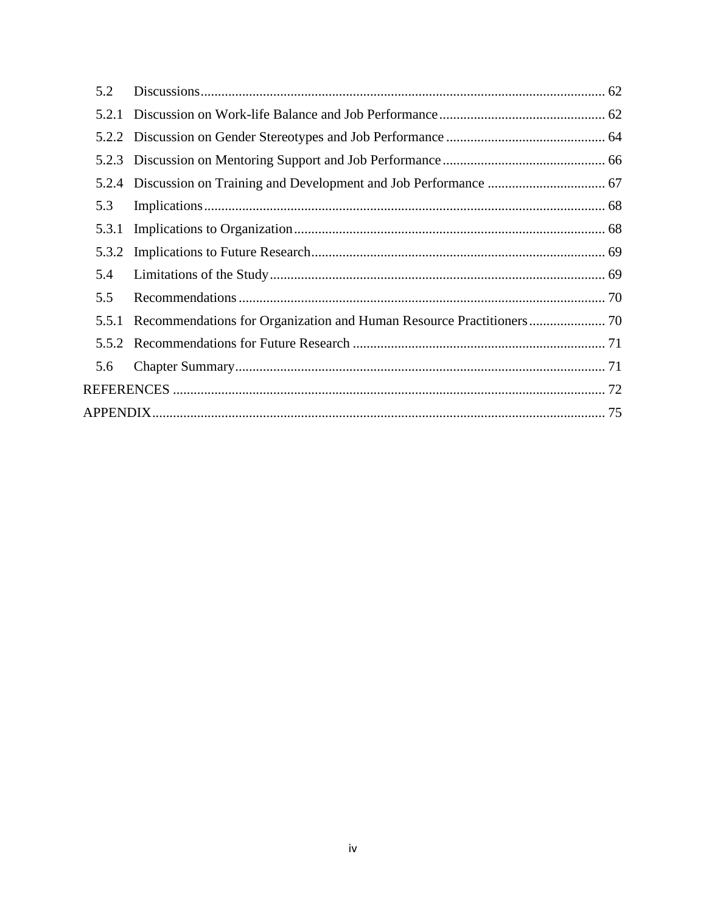| 5.2   |  |
|-------|--|
|       |  |
|       |  |
|       |  |
|       |  |
| 5.3   |  |
| 5.3.1 |  |
| 5.3.2 |  |
| 5.4   |  |
| 5.5   |  |
| 5.5.1 |  |
|       |  |
| 5.6   |  |
|       |  |
|       |  |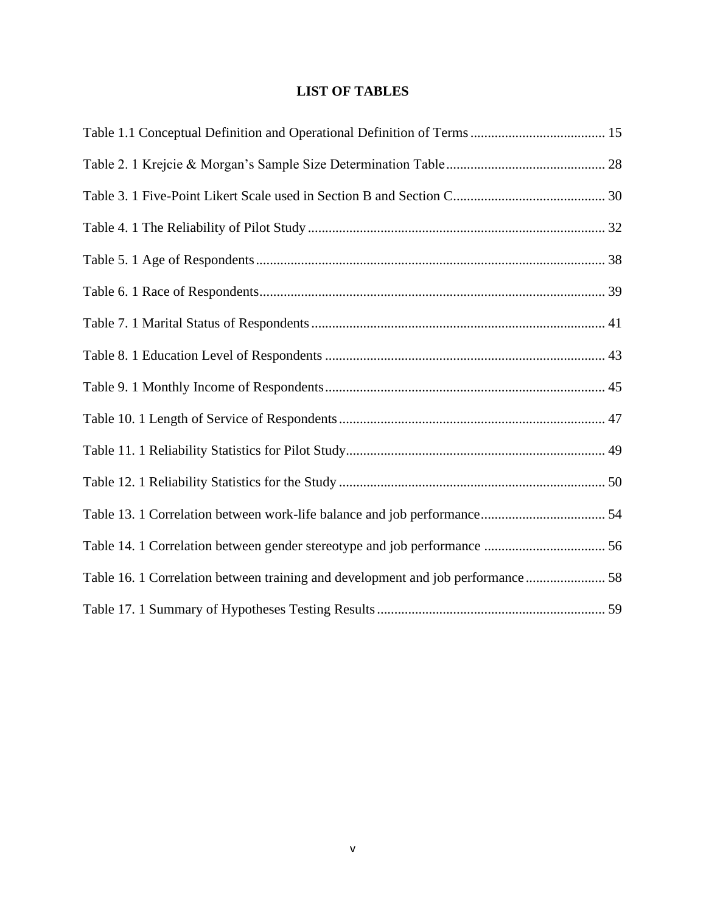## **LIST OF TABLES**

<span id="page-9-0"></span>

| Table 16. 1 Correlation between training and development and job performance 58 |  |
|---------------------------------------------------------------------------------|--|
|                                                                                 |  |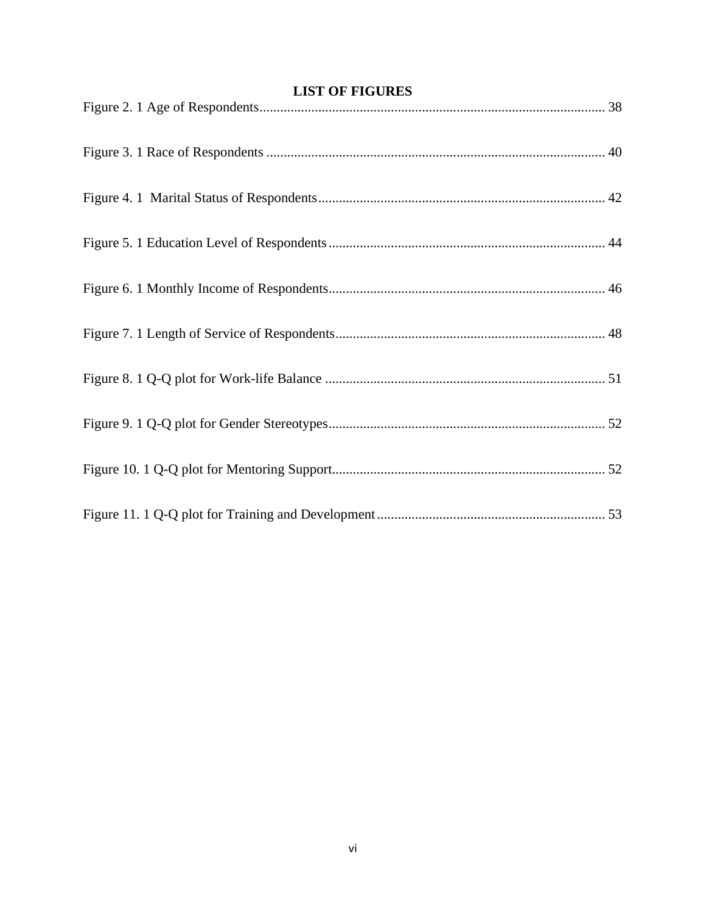<span id="page-10-0"></span>

| <b>LIST OF FIGURES</b> |  |  |  |
|------------------------|--|--|--|
|                        |  |  |  |
|                        |  |  |  |
|                        |  |  |  |
|                        |  |  |  |
|                        |  |  |  |
|                        |  |  |  |
|                        |  |  |  |
|                        |  |  |  |
|                        |  |  |  |
|                        |  |  |  |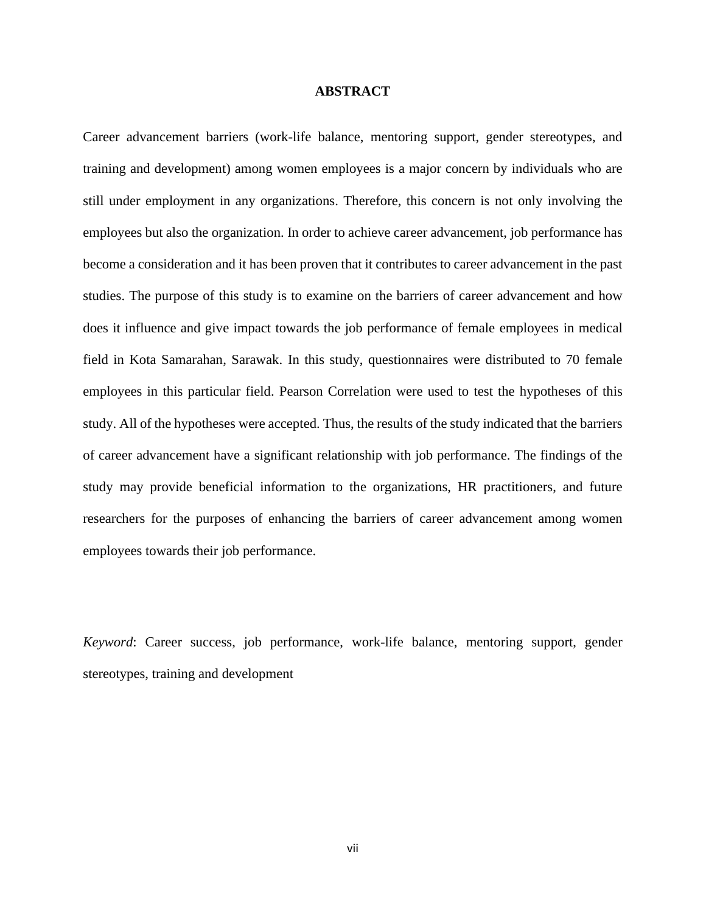#### **ABSTRACT**

Career advancement barriers (work-life balance, mentoring support, gender stereotypes, and training and development) among women employees is a major concern by individuals who are still under employment in any organizations. Therefore, this concern is not only involving the employees but also the organization. In order to achieve career advancement, job performance has become a consideration and it has been proven that it contributes to career advancement in the past studies. The purpose of this study is to examine on the barriers of career advancement and how does it influence and give impact towards the job performance of female employees in medical field in Kota Samarahan, Sarawak. In this study, questionnaires were distributed to 70 female employees in this particular field. Pearson Correlation were used to test the hypotheses of this study. All of the hypotheses were accepted. Thus, the results of the study indicated that the barriers of career advancement have a significant relationship with job performance. The findings of the study may provide beneficial information to the organizations, HR practitioners, and future researchers for the purposes of enhancing the barriers of career advancement among women employees towards their job performance.

*Keyword*: Career success, job performance, work-life balance, mentoring support, gender stereotypes, training and development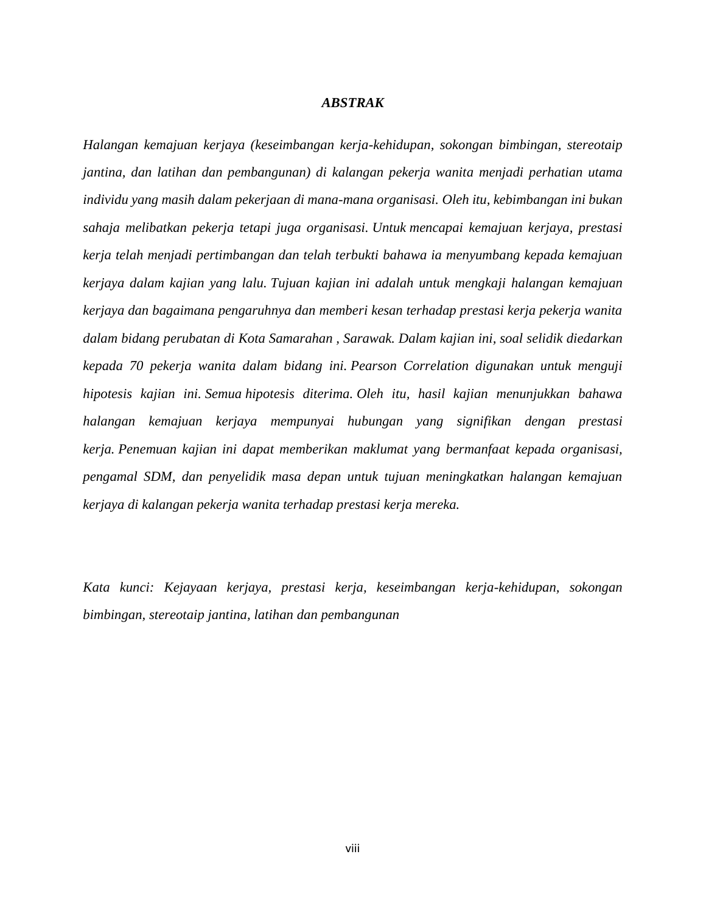#### *ABSTRAK*

*Halangan kemajuan kerjaya (keseimbangan kerja-kehidupan, sokongan bimbingan, stereotaip jantina, dan latihan dan pembangunan) di kalangan pekerja wanita menjadi perhatian utama individu yang masih dalam pekerjaan di mana-mana organisasi. Oleh itu, kebimbangan ini bukan sahaja melibatkan pekerja tetapi juga organisasi. Untuk mencapai kemajuan kerjaya, prestasi kerja telah menjadi pertimbangan dan telah terbukti bahawa ia menyumbang kepada kemajuan kerjaya dalam kajian yang lalu. Tujuan kajian ini adalah untuk mengkaji halangan kemajuan kerjaya dan bagaimana pengaruhnya dan memberi kesan terhadap prestasi kerja pekerja wanita dalam bidang perubatan di Kota Samarahan , Sarawak. Dalam kajian ini, soal selidik diedarkan kepada 70 pekerja wanita dalam bidang ini. Pearson Correlation digunakan untuk menguji hipotesis kajian ini. Semua hipotesis diterima. Oleh itu, hasil kajian menunjukkan bahawa halangan kemajuan kerjaya mempunyai hubungan yang signifikan dengan prestasi kerja. Penemuan kajian ini dapat memberikan maklumat yang bermanfaat kepada organisasi, pengamal SDM, dan penyelidik masa depan untuk tujuan meningkatkan halangan kemajuan kerjaya di kalangan pekerja wanita terhadap prestasi kerja mereka.*

*Kata kunci: Kejayaan kerjaya, prestasi kerja, keseimbangan kerja-kehidupan, sokongan bimbingan, stereotaip jantina, latihan dan pembangunan*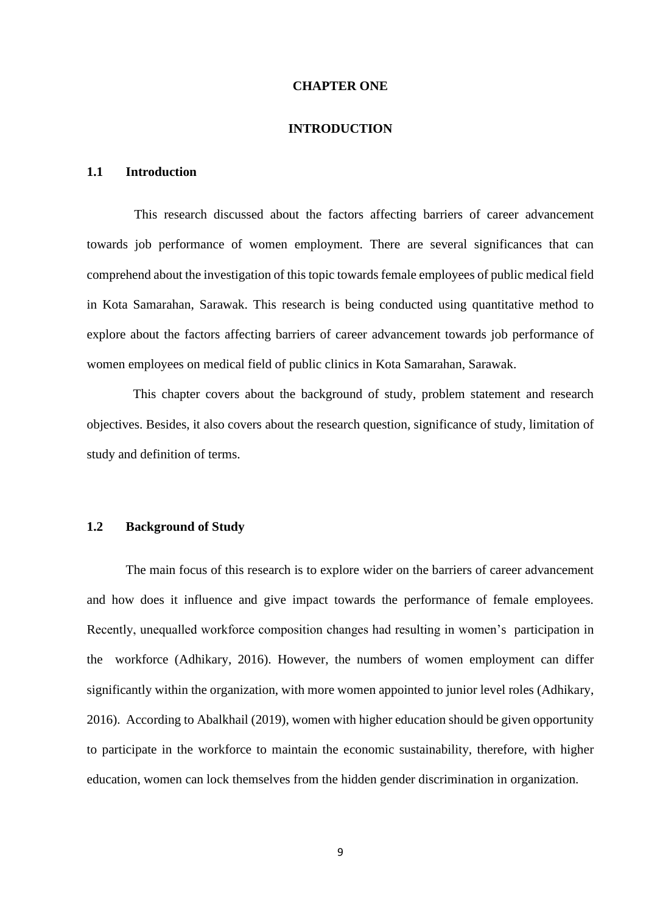#### **CHAPTER ONE**

#### **INTRODUCTION**

### <span id="page-13-1"></span><span id="page-13-0"></span>**1.1 Introduction**

This research discussed about the factors affecting barriers of career advancement towards job performance of women employment. There are several significances that can comprehend about the investigation of this topic towards female employees of public medical field in Kota Samarahan, Sarawak. This research is being conducted using quantitative method to explore about the factors affecting barriers of career advancement towards job performance of women employees on medical field of public clinics in Kota Samarahan, Sarawak.

This chapter covers about the background of study, problem statement and research objectives. Besides, it also covers about the research question, significance of study, limitation of study and definition of terms.

#### <span id="page-13-2"></span>**1.2 Background of Study**

The main focus of this research is to explore wider on the barriers of career advancement and how does it influence and give impact towards the performance of female employees. Recently, unequalled workforce composition changes had resulting in women's participation in the workforce (Adhikary, 2016). However, the numbers of women employment can differ significantly within the organization, with more women appointed to junior level roles (Adhikary, 2016). According to Abalkhail (2019), women with higher education should be given opportunity to participate in the workforce to maintain the economic sustainability, therefore, with higher education, women can lock themselves from the hidden gender discrimination in organization.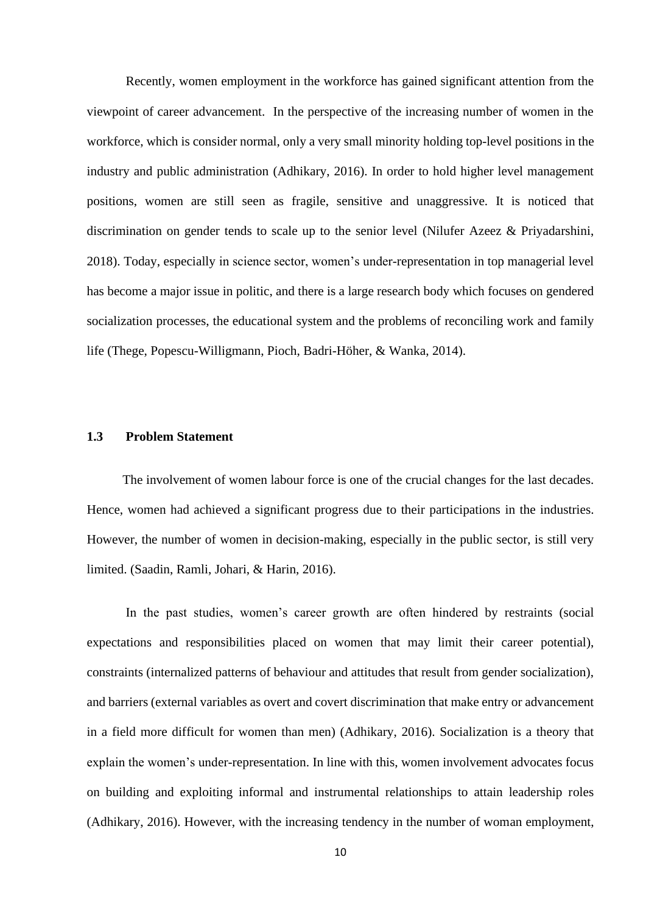Recently, women employment in the workforce has gained significant attention from the viewpoint of career advancement. In the perspective of the increasing number of women in the workforce, which is consider normal, only a very small minority holding top-level positions in the industry and public administration (Adhikary, 2016). In order to hold higher level management positions, women are still seen as fragile, sensitive and unaggressive. It is noticed that discrimination on gender tends to scale up to the senior level (Nilufer Azeez & Priyadarshini, 2018). Today, especially in science sector, women's under-representation in top managerial level has become a major issue in politic, and there is a large research body which focuses on gendered socialization processes, the educational system and the problems of reconciling work and family life (Thege, Popescu-Willigmann, Pioch, Badri-Höher, & Wanka, 2014).

## <span id="page-14-0"></span>**1.3 Problem Statement**

The involvement of women labour force is one of the crucial changes for the last decades. Hence, women had achieved a significant progress due to their participations in the industries. However, the number of women in decision-making, especially in the public sector, is still very limited. (Saadin, Ramli, Johari, & Harin, 2016).

In the past studies, women's career growth are often hindered by restraints (social expectations and responsibilities placed on women that may limit their career potential), constraints (internalized patterns of behaviour and attitudes that result from gender socialization), and barriers (external variables as overt and covert discrimination that make entry or advancement in a field more difficult for women than men) (Adhikary, 2016). Socialization is a theory that explain the women's under-representation. In line with this, women involvement advocates focus on building and exploiting informal and instrumental relationships to attain leadership roles (Adhikary, 2016). However, with the increasing tendency in the number of woman employment,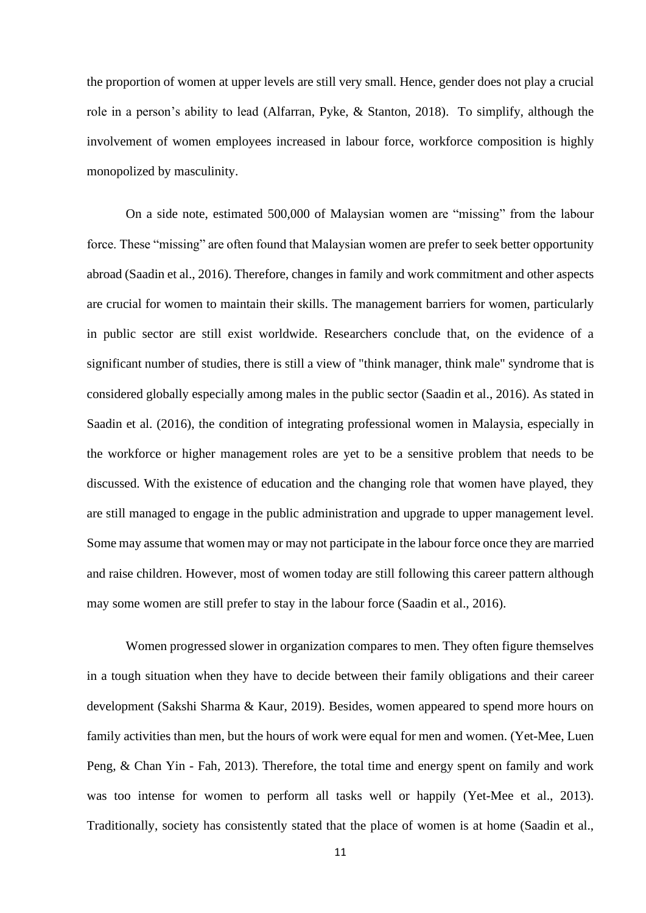the proportion of women at upper levels are still very small. Hence, gender does not play a crucial role in a person's ability to lead (Alfarran, Pyke, & Stanton, 2018). To simplify, although the involvement of women employees increased in labour force, workforce composition is highly monopolized by masculinity.

On a side note, estimated 500,000 of Malaysian women are "missing" from the labour force. These "missing" are often found that Malaysian women are prefer to seek better opportunity abroad (Saadin et al., 2016). Therefore, changes in family and work commitment and other aspects are crucial for women to maintain their skills. The management barriers for women, particularly in public sector are still exist worldwide. Researchers conclude that, on the evidence of a significant number of studies, there is still a view of "think manager, think male" syndrome that is considered globally especially among males in the public sector (Saadin et al., 2016). As stated in Saadin et al. (2016), the condition of integrating professional women in Malaysia, especially in the workforce or higher management roles are yet to be a sensitive problem that needs to be discussed. With the existence of education and the changing role that women have played, they are still managed to engage in the public administration and upgrade to upper management level. Some may assume that women may or may not participate in the labour force once they are married and raise children. However, most of women today are still following this career pattern although may some women are still prefer to stay in the labour force (Saadin et al., 2016).

Women progressed slower in organization compares to men. They often figure themselves in a tough situation when they have to decide between their family obligations and their career development (Sakshi Sharma & Kaur, 2019). Besides, women appeared to spend more hours on family activities than men, but the hours of work were equal for men and women. (Yet-Mee, Luen Peng, & Chan Yin - Fah, 2013). Therefore, the total time and energy spent on family and work was too intense for women to perform all tasks well or happily (Yet-Mee et al., 2013). Traditionally, society has consistently stated that the place of women is at home (Saadin et al.,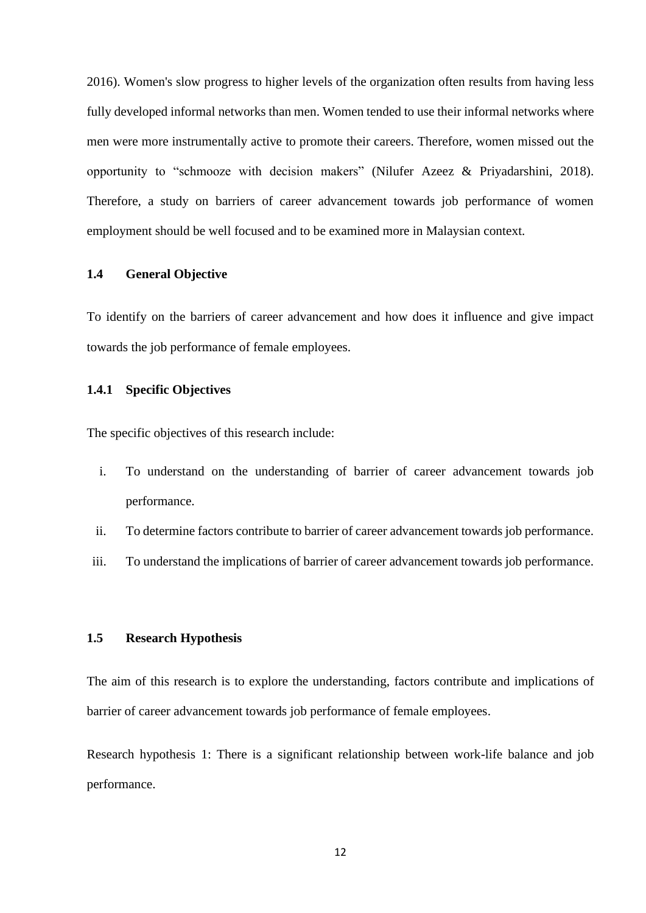2016). Women's slow progress to higher levels of the organization often results from having less fully developed informal networks than men. Women tended to use their informal networks where men were more instrumentally active to promote their careers. Therefore, women missed out the opportunity to "schmooze with decision makers" (Nilufer Azeez & Priyadarshini, 2018). Therefore, a study on barriers of career advancement towards job performance of women employment should be well focused and to be examined more in Malaysian context.

#### <span id="page-16-0"></span>**1.4 General Objective**

<span id="page-16-1"></span>To identify on the barriers of career advancement and how does it influence and give impact towards the job performance of female employees.

## **1.4.1 Specific Objectives**

The specific objectives of this research include:

- i. To understand on the understanding of barrier of career advancement towards job performance.
- ii. To determine factors contribute to barrier of career advancement towards job performance.
- <span id="page-16-2"></span>iii. To understand the implications of barrier of career advancement towards job performance.

## **1.5 Research Hypothesis**

The aim of this research is to explore the understanding, factors contribute and implications of barrier of career advancement towards job performance of female employees.

Research hypothesis 1: There is a significant relationship between work-life balance and job performance.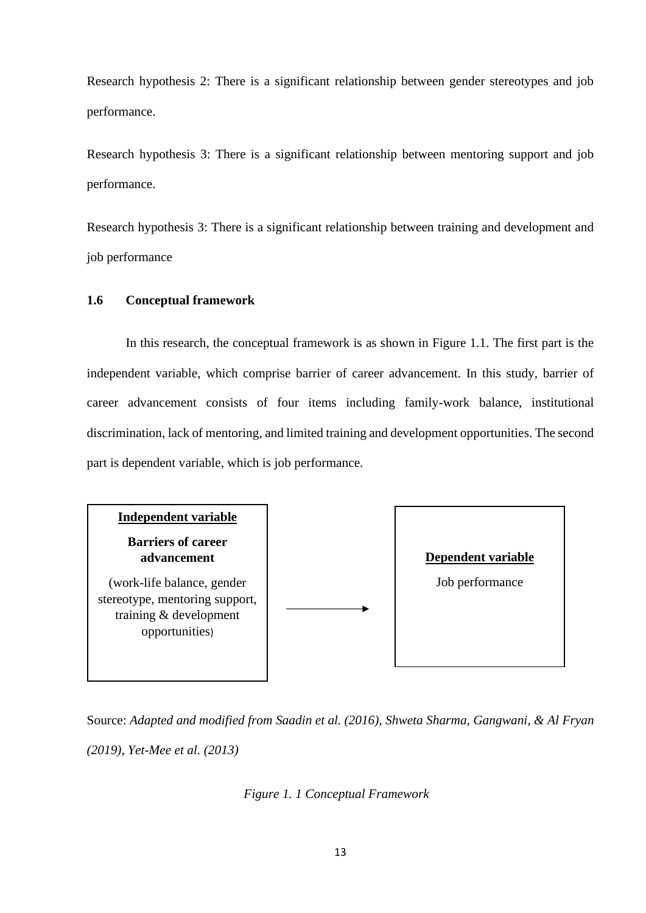Research hypothesis 2: There is a significant relationship between gender stereotypes and job performance.

Research hypothesis 3: There is a significant relationship between mentoring support and job performance.

<span id="page-17-0"></span>Research hypothesis 3: There is a significant relationship between training and development and job performance

## **1.6 Conceptual framework**

In this research, the conceptual framework is as shown in Figure 1.1. The first part is the independent variable, which comprise barrier of career advancement. In this study, barrier of career advancement consists of four items including family-work balance, institutional discrimination, lack of mentoring, and limited training and development opportunities. The second part is dependent variable, which is job performance.



Source: *Adapted and modified from Saadin et al. (2016), Shweta Sharma, Gangwani, & Al Fryan (2019), Yet-Mee et al. (2013)*

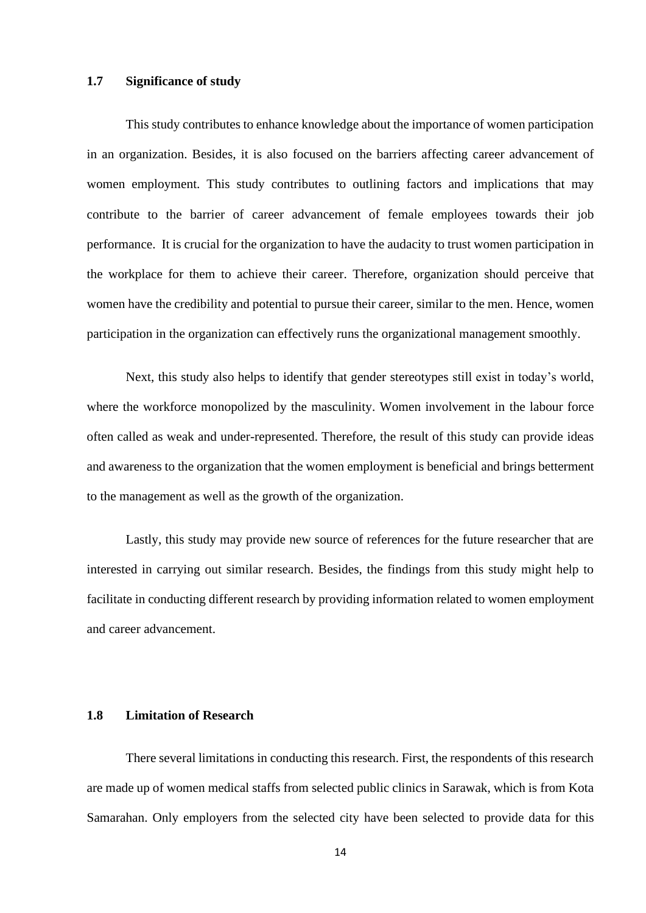## <span id="page-18-0"></span>**1.7 Significance of study**

This study contributes to enhance knowledge about the importance of women participation in an organization. Besides, it is also focused on the barriers affecting career advancement of women employment. This study contributes to outlining factors and implications that may contribute to the barrier of career advancement of female employees towards their job performance. It is crucial for the organization to have the audacity to trust women participation in the workplace for them to achieve their career. Therefore, organization should perceive that women have the credibility and potential to pursue their career, similar to the men. Hence, women participation in the organization can effectively runs the organizational management smoothly.

Next, this study also helps to identify that gender stereotypes still exist in today's world, where the workforce monopolized by the masculinity. Women involvement in the labour force often called as weak and under-represented. Therefore, the result of this study can provide ideas and awareness to the organization that the women employment is beneficial and brings betterment to the management as well as the growth of the organization.

Lastly, this study may provide new source of references for the future researcher that are interested in carrying out similar research. Besides, the findings from this study might help to facilitate in conducting different research by providing information related to women employment and career advancement.

#### <span id="page-18-1"></span>**1.8 Limitation of Research**

There several limitations in conducting this research. First, the respondents of this research are made up of women medical staffs from selected public clinics in Sarawak, which is from Kota Samarahan. Only employers from the selected city have been selected to provide data for this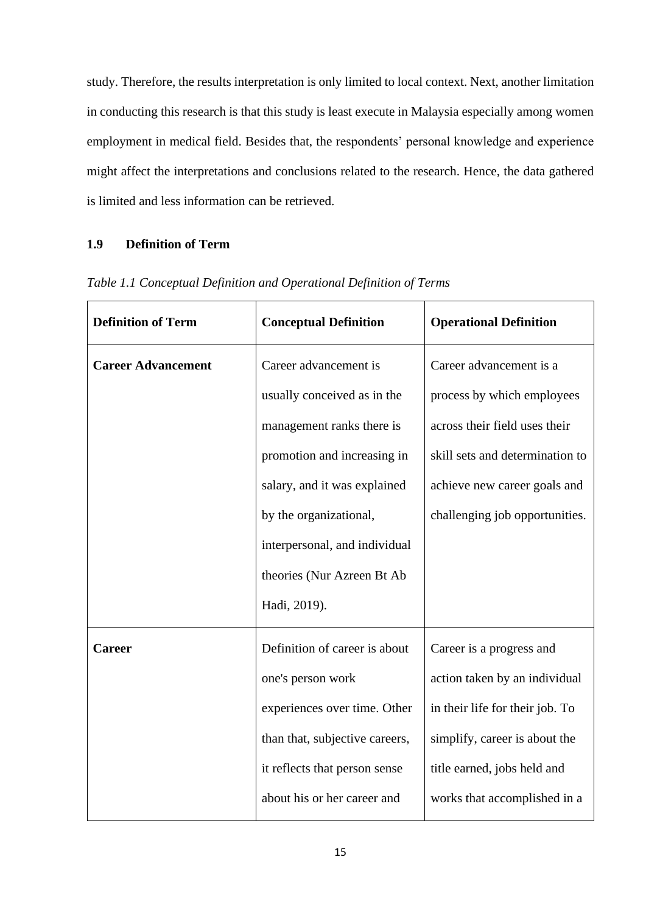study. Therefore, the results interpretation is only limited to local context. Next, another limitation in conducting this research is that this study is least execute in Malaysia especially among women employment in medical field. Besides that, the respondents' personal knowledge and experience might affect the interpretations and conclusions related to the research. Hence, the data gathered is limited and less information can be retrieved.

## <span id="page-19-0"></span>**1.9 Definition of Term**

| <b>Definition of Term</b> | <b>Conceptual Definition</b>   | <b>Operational Definition</b>   |
|---------------------------|--------------------------------|---------------------------------|
| <b>Career Advancement</b> | Career advancement is          | Career advancement is a         |
|                           | usually conceived as in the    | process by which employees      |
|                           | management ranks there is      | across their field uses their   |
|                           | promotion and increasing in    | skill sets and determination to |
|                           | salary, and it was explained   | achieve new career goals and    |
|                           | by the organizational,         | challenging job opportunities.  |
|                           | interpersonal, and individual  |                                 |
|                           | theories (Nur Azreen Bt Ab     |                                 |
|                           | Hadi, 2019).                   |                                 |
| <b>Career</b>             | Definition of career is about  | Career is a progress and        |
|                           | one's person work              | action taken by an individual   |
|                           | experiences over time. Other   | in their life for their job. To |
|                           | than that, subjective careers, | simplify, career is about the   |
|                           | it reflects that person sense  | title earned, jobs held and     |
|                           | about his or her career and    | works that accomplished in a    |

*Table 1.1 Conceptual Definition and Operational Definition of Terms*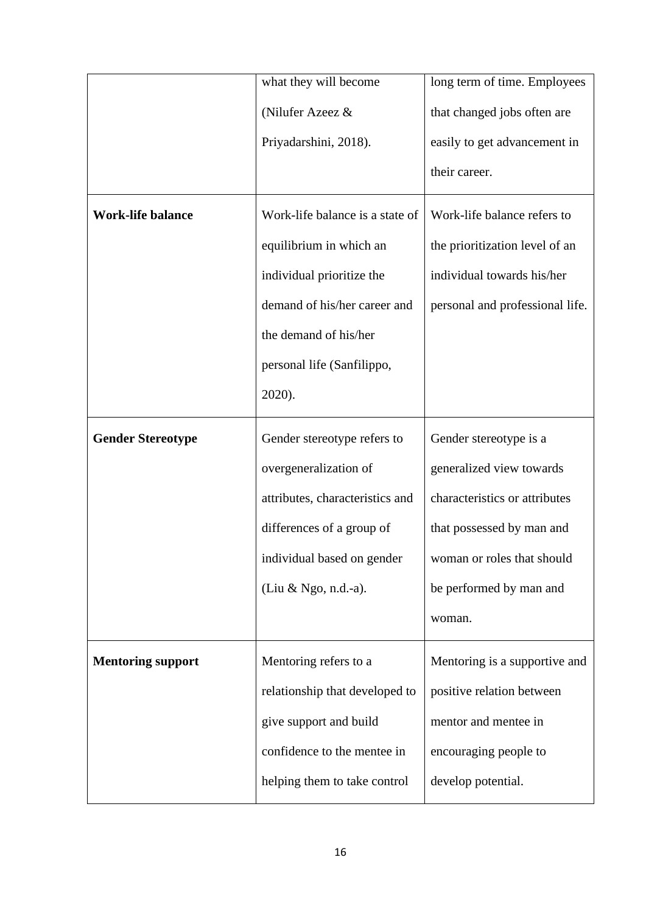|                          | what they will become           | long term of time. Employees    |
|--------------------------|---------------------------------|---------------------------------|
|                          | (Nilufer Azeez &                | that changed jobs often are     |
|                          | Priyadarshini, 2018).           | easily to get advancement in    |
|                          |                                 | their career.                   |
| <b>Work-life balance</b> | Work-life balance is a state of | Work-life balance refers to     |
|                          | equilibrium in which an         | the prioritization level of an  |
|                          | individual prioritize the       | individual towards his/her      |
|                          | demand of his/her career and    | personal and professional life. |
|                          | the demand of his/her           |                                 |
|                          | personal life (Sanfilippo,      |                                 |
|                          | 2020).                          |                                 |
| <b>Gender Stereotype</b> | Gender stereotype refers to     | Gender stereotype is a          |
|                          | overgeneralization of           | generalized view towards        |
|                          | attributes, characteristics and | characteristics or attributes   |
|                          | differences of a group of       | that possessed by man and       |
|                          | individual based on gender      | woman or roles that should      |
|                          | (Liu & Ngo, n.d.-a).            | be performed by man and         |
|                          |                                 | woman.                          |
| <b>Mentoring support</b> | Mentoring refers to a           | Mentoring is a supportive and   |
|                          | relationship that developed to  | positive relation between       |
|                          | give support and build          | mentor and mentee in            |
|                          | confidence to the mentee in     | encouraging people to           |
|                          | helping them to take control    | develop potential.              |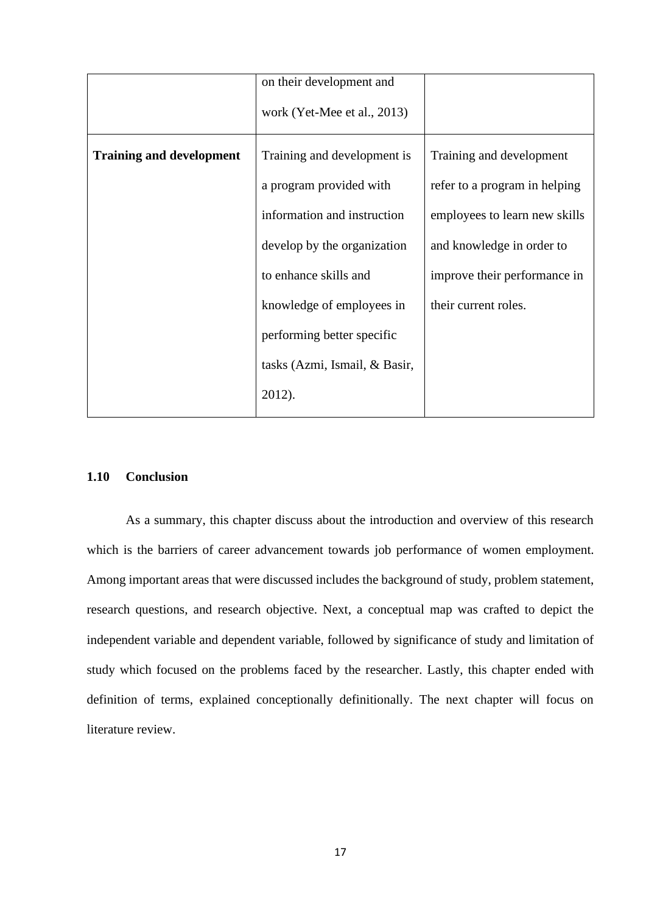|                                 | on their development and      |                               |
|---------------------------------|-------------------------------|-------------------------------|
|                                 | work (Yet-Mee et al., 2013)   |                               |
| <b>Training and development</b> | Training and development is   | Training and development      |
|                                 | a program provided with       | refer to a program in helping |
|                                 | information and instruction   | employees to learn new skills |
|                                 | develop by the organization   | and knowledge in order to     |
|                                 | to enhance skills and         | improve their performance in  |
|                                 | knowledge of employees in     | their current roles.          |
|                                 | performing better specific    |                               |
|                                 | tasks (Azmi, Ismail, & Basir, |                               |
|                                 | 2012).                        |                               |

## <span id="page-21-0"></span>**1.10 Conclusion**

As a summary, this chapter discuss about the introduction and overview of this research which is the barriers of career advancement towards job performance of women employment. Among important areas that were discussed includes the background of study, problem statement, research questions, and research objective. Next, a conceptual map was crafted to depict the independent variable and dependent variable, followed by significance of study and limitation of study which focused on the problems faced by the researcher. Lastly, this chapter ended with definition of terms, explained conceptionally definitionally. The next chapter will focus on literature review.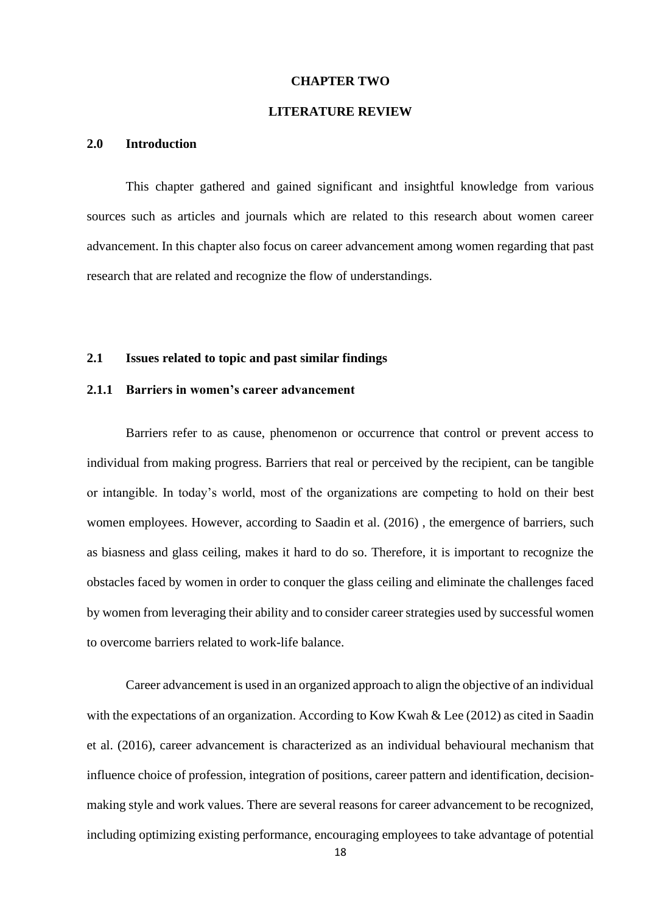## **CHAPTER TWO**

## **LITERATURE REVIEW**

#### <span id="page-22-1"></span><span id="page-22-0"></span>**2.0 Introduction**

This chapter gathered and gained significant and insightful knowledge from various sources such as articles and journals which are related to this research about women career advancement. In this chapter also focus on career advancement among women regarding that past research that are related and recognize the flow of understandings.

## <span id="page-22-3"></span><span id="page-22-2"></span>**2.1 Issues related to topic and past similar findings**

## **2.1.1 Barriers in women's career advancement**

Barriers refer to as cause, phenomenon or occurrence that control or prevent access to individual from making progress. Barriers that real or perceived by the recipient, can be tangible or intangible. In today's world, most of the organizations are competing to hold on their best women employees. However, according to Saadin et al. (2016) , the emergence of barriers, such as biasness and glass ceiling, makes it hard to do so. Therefore, it is important to recognize the obstacles faced by women in order to conquer the glass ceiling and eliminate the challenges faced by women from leveraging their ability and to consider career strategies used by successful women to overcome barriers related to work-life balance.

Career advancement is used in an organized approach to align the objective of an individual with the expectations of an organization. According to Kow Kwah & Lee (2012) as cited in Saadin et al. (2016), career advancement is characterized as an individual behavioural mechanism that influence choice of profession, integration of positions, career pattern and identification, decisionmaking style and work values. There are several reasons for career advancement to be recognized, including optimizing existing performance, encouraging employees to take advantage of potential